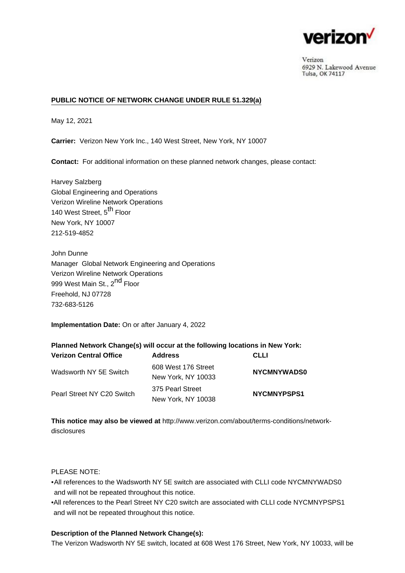

Verizon 6929 N. Lakewood Avenue Tulsa, OK 74117

## **PUBLIC NOTICE OF NETWORK CHANGE UNDER RULE 51.329(a)**

May 12, 2021

**Carrier:** Verizon New York Inc., 140 West Street, New York, NY 10007

**Contact:** For additional information on these planned network changes, please contact:

Harvey Salzberg Global Engineering and Operations Verizon Wireline Network Operations 140 West Street, 5<sup>th</sup> Floor New York, NY 10007 212-519-4852

John Dunne Manager Global Network Engineering and Operations Verizon Wireline Network Operations 999 West Main St., 2<sup>nd</sup> Floor Freehold, NJ 07728 732-683-5126

**Implementation Date:** On or after January 4, 2022

### **Planned Network Change(s) will occur at the following locations in New York:**

| <b>Verizon Central Office</b> | <b>Address</b>      | <b>CLLI</b>        |
|-------------------------------|---------------------|--------------------|
| Wadsworth NY 5E Switch        | 608 West 176 Street | <b>NYCMNYWADS0</b> |
|                               | New York, NY 10033  |                    |
| Pearl Street NY C20 Switch    | 375 Pearl Street    | NYCMNYPSPS1        |
|                               | New York, NY 10038  |                    |

**This notice may also be viewed at** [http://www.verizon.com/about/terms-conditions/network](http://www.verizon.com/about/terms-conditions/network-disclosures)[disclosures](http://www.verizon.com/about/terms-conditions/network-disclosures)

#### PLEASE NOTE:

•All references to the Wadsworth NY 5E switch are associated with CLLI code NYCMNYWADS0 and will not be repeated throughout this notice.

All references to the Pearl Street NY C20 switch are associated with CLLI code NYCMNYPSPS1 • and will not be repeated throughout this notice.

#### **Description of the Planned Network Change(s):**

The Verizon Wadsworth NY 5E switch, located at 608 West 176 Street, New York, NY 10033, will be